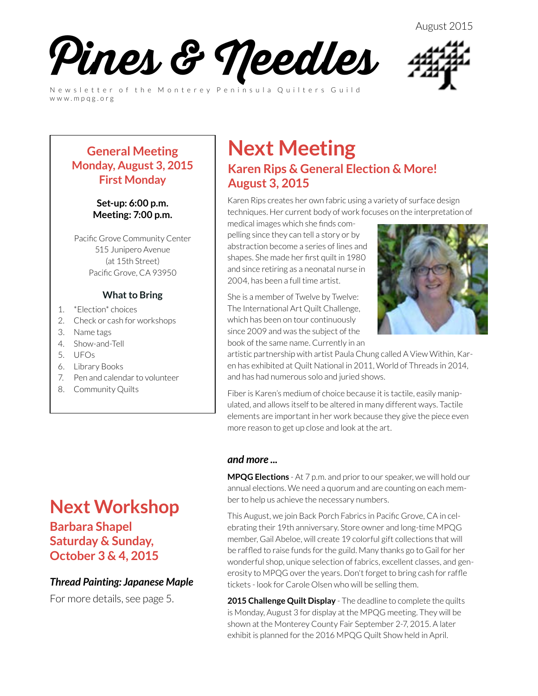August 2015



Newsletter of the Monterey Peninsula Quilters Guild www.mpqg.org



#### **General Meeting Monday, August 3, 2015 First Monday**

**Set-up: 6:00 p.m. Meeting: 7:00 p.m.**

Pacific Grove Community Center 515 Junipero Avenue (at 15th Street) Pacific Grove, CA 93950

#### **What to Bring**

- 1. \*Election\* choices
- 2. Check or cash for workshops
- 3. Name tags
- 4. Show-and-Tell
- 5. UFOs
- 6. Library Books
- 7. Pen and calendar to volunteer
- 8. Community Quilts

## **Next Workshop**

**Barbara Shapel Saturday & Sunday, October 3 & 4, 2015**

#### *Thread Painting: Japanese Maple*

For more details, see page 5.

### **Next Meeting Karen Rips & General Election & More! August 3, 2015**

Karen Rips creates her own fabric using a variety of surface design techniques. Her current body of work focuses on the interpretation of

medical images which she finds compelling since they can tell a story or by abstraction become a series of lines and shapes. She made her first quilt in 1980 and since retiring as a neonatal nurse in 2004, has been a full time artist.

She is a member of Twelve by Twelve: The International Art Quilt Challenge, which has been on tour continuously since 2009 and was the subject of the book of the same name. Currently in an



artistic partnership with artist Paula Chung called A View Within, Karen has exhibited at Quilt National in 2011, World of Threads in 2014, and has had numerous solo and juried shows.

Fiber is Karen's medium of choice because it is tactile, easily manipulated, and allows itself to be altered in many different ways. Tactile elements are important in her work because they give the piece even more reason to get up close and look at the art.

#### *and more ...*

**MPQG Elections** - At 7 p.m. and prior to our speaker, we will hold our annual elections. We need a quorum and are counting on each member to help us achieve the necessary numbers.

This August, we join Back Porch Fabrics in Pacific Grove, CA in celebrating their 19th anniversary. Store owner and long-time MPQG member, Gail Abeloe, will create 19 colorful gift collections that will be raffled to raise funds for the guild. Many thanks go to Gail for her wonderful shop, unique selection of fabrics, excellent classes, and generosity to MPQG over the years. Don't forget to bring cash for raffle tickets - look for Carole Olsen who will be selling them.

**2015 Challenge Quilt Display** - The deadline to complete the quilts is Monday, August 3 for display at the MPQG meeting. They will be shown at the Monterey County Fair September 2-7, 2015. A later exhibit is planned for the 2016 MPQG Quilt Show held in April.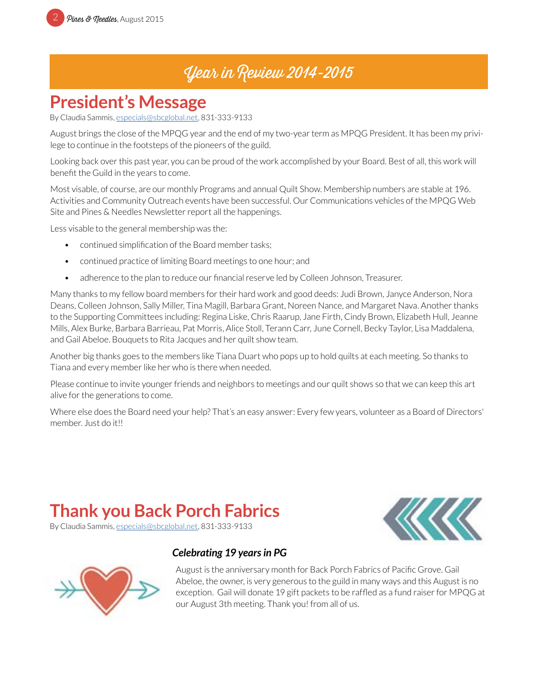### Year in Review 2014-2015

### **President's Message**

By Claudia Sammis, especials@sbcglobal.net, 831-333-9133

August brings the close of the MPQG year and the end of my two-year term as MPQG President. It has been my privilege to continue in the footsteps of the pioneers of the guild.

Looking back over this past year, you can be proud of the work accomplished by your Board. Best of all, this work will benefit the Guild in the years to come.

Most visable, of course, are our monthly Programs and annual Quilt Show. Membership numbers are stable at 196. Activities and Community Outreach events have been successful. Our Communications vehicles of the MPQG Web Site and Pines & Needles Newsletter report all the happenings.

Less visable to the general membership was the:

- continued simplification of the Board member tasks;
- continued practice of limiting Board meetings to one hour; and
- adherence to the plan to reduce our financial reserve led by Colleen Johnson, Treasurer.

Many thanks to my fellow board members for their hard work and good deeds: Judi Brown, Janyce Anderson, Nora Deans, Colleen Johnson, Sally Miller, Tina Magill, Barbara Grant, Noreen Nance, and Margaret Nava. Another thanks to the Supporting Committees including: Regina Liske, Chris Raarup, Jane Firth, Cindy Brown, Elizabeth Hull, Jeanne Mills, Alex Burke, Barbara Barrieau, Pat Morris, Alice Stoll, Terann Carr, June Cornell, Becky Taylor, Lisa Maddalena, and Gail Abeloe. Bouquets to Rita Jacques and her quilt show team.

Another big thanks goes to the members like Tiana Duart who pops up to hold quilts at each meeting. So thanks to Tiana and every member like her who is there when needed.

Please continue to invite younger friends and neighbors to meetings and our quilt shows so that we can keep this art alive for the generations to come.

Where else does the Board need your help? That's an easy answer: Every few years, volunteer as a Board of Directors' member. Just do it!!

## **Thank you Back Porch Fabrics**





#### *Celebrating 19 years in PG*

August is the anniversary month for Back Porch Fabrics of Pacific Grove. Gail Abeloe, the owner, is very generous to the guild in many ways and this August is no exception. Gail will donate 19 gift packets to be raffled as a fund raiser for MPQG at our August 3th meeting. Thank you! from all of us.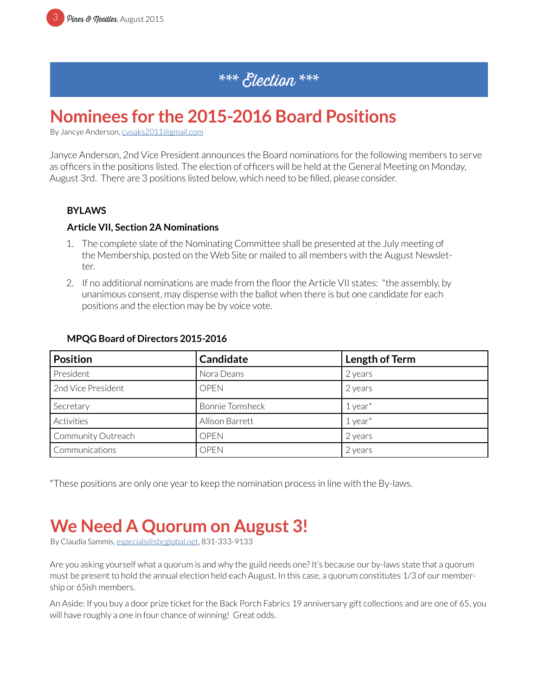### \*\*\* Election \*\*\*

### **Nominees for the 2015-2016 Board Positions**

By Jancye Anderson, [cvoaks2011@gmail.com](mailto:cvoaks2011%40gmail.com?subject=MPQG%20Election)

Janyce Anderson, 2nd Vice President announces the Board nominations for the following members to serve as officers in the positions listed. The election of officers will be held at the General Meeting on Monday, August 3rd. There are 3 positions listed below, which need to be filled, please consider.

#### **BYLAWS**

#### **Article VII, Section 2A Nominations**

- 1. The complete slate of the Nominating Committee shall be presented at the July meeting of the Membership, posted on the Web Site or mailed to all members with the August Newsletter.
- 2. If no additional nominations are made from the floor the Article VII states: "the assembly, by unanimous consent, may dispense with the ballot when there is but one candidate for each positions and the election may be by voice vote.

| <b>Position</b>    | <b>Candidate</b>       | Length of Term |
|--------------------|------------------------|----------------|
| President          | Nora Deans             | 2 years        |
| 2nd Vice President | <b>OPEN</b>            | 2 years        |
| Secretary          | <b>Bonnie Tomsheck</b> | $1$ year $*$   |
| Activities         | Allison Barrett        | $1$ year $*$   |
| Community Outreach | <b>OPEN</b>            | 2 years        |
| Communications     | <b>OPEN</b>            | 2 years        |

#### **MPQG Board of Directors 2015-2016**

\*These positions are only one year to keep the nomination process in line with the By-laws.

## **We Need A Quorum on August 3!**

By Claudia Sammis, especials@sbcglobal.net, 831-333-9133

Are you asking yourself what a quorum is and why the guild needs one? It's because our by-laws state that a quorum must be present to hold the annual election held each August. In this case, a quorum constitutes 1/3 of our membership or 65ish members.

An Aside: If you buy a door prize ticket for the Back Porch Fabrics 19 anniversary gift collections and are one of 65, you will have roughly a one in four chance of winning! Great odds.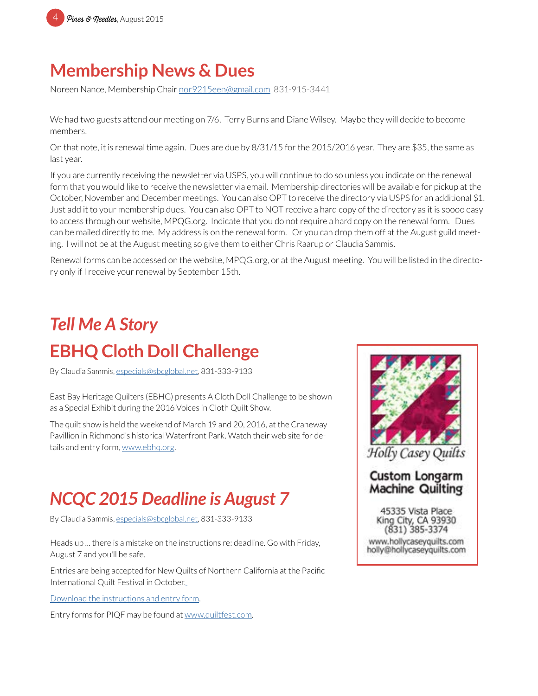

### **Membership News & Dues**

Noreen Nance, Membership Chair no[r9215een@gmail.com](mailto:nor9215een%40gmail.com?subject=MPQG%20Membership) 831-915-3441

We had two guests attend our meeting on 7/6. Terry Burns and Diane Wilsey. Maybe they will decide to become members.

On that note, it is renewal time again. Dues are due by 8/31/15 for the 2015/2016 year. They are \$35, the same as last year.

If you are currently receiving the newsletter via USPS, you will continue to do so unless you indicate on the renewal form that you would like to receive the newsletter via email. Membership directories will be available for pickup at the October, November and December meetings. You can also OPT to receive the directory via USPS for an additional \$1. Just add it to your membership dues. You can also OPT to NOT receive a hard copy of the directory as it is soooo easy to access through our website, MPQG.org. Indicate that you do not require a hard copy on the renewal form. Dues can be mailed directly to me. My address is on the renewal form. Or you can drop them off at the August guild meeting. I will not be at the August meeting so give them to either Chris Raarup or Claudia Sammis.

Renewal forms can be accessed on the website, MPQG.org, or at the August meeting. You will be listed in the directory only if I receive your renewal by September 15th.

# *Tell Me A Story*  **EBHQ Cloth Doll Challenge**

By Claudia Sammis, [especials@sbcglobal.net](mailto:especials%40sbcglobal.net?subject=MPQG), 831-333-9133

East Bay Heritage Quilters (EBHG) presents A Cloth Doll Challenge to be shown as a Special Exhibit during the 2016 Voices in Cloth Quilt Show.

The quilt show is held the weekend of March 19 and 20, 2016, at the Craneway Pavillion in Richmond's historical Waterfront Park. Watch their web site for details and entry form, [www.ebhq.org.](http://www.ebhq.org)

### *NCQC 2015 Deadline is August 7*

By Claudia Sammis, [especials@sbcglobal.net](mailto:especials%40sbcglobal.net?subject=MPQG), 831-333-9133

Heads up ... there is a mistake on the instructions re: deadline. Go with Friday, August 7 and you'll be safe.

Entries are being accepted for New Quilts of Northern California at the Pacific International Quilt Festival in October[.](http://www.mpqg.org/media/uploads/2015/07/08/files/NCQC_15.pdf)

[Download the instructions and entry form.](http://www.mpqg.org/media/uploads/2015/07/08/files/NCQC_15.pdf)

Entry forms for PIQF may be found at [www.quiltfest.com.](http://www.quiltfest.com)



45335 Vista Place King City, CA 93930 (831) 385-3374 www.hollycaseyquilts.com holly@hollycaseyquilts.com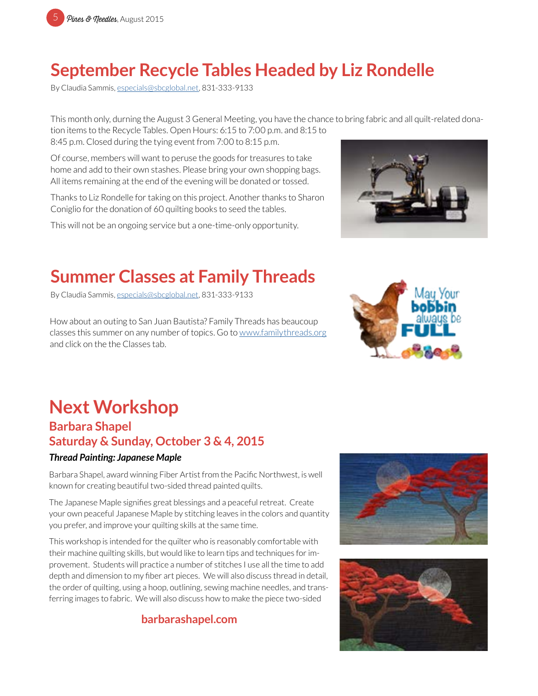## **September Recycle Tables Headed by Liz Rondelle**

By Claudia Sammis, especials@sbcglobal.net, 831-333-9133

This month only, durning the August 3 General Meeting, you have the chance to bring fabric and all quilt-related donation items to the Recycle Tables. Open Hours: 6:15 to 7:00 p.m. and 8:15 to 8:45 p.m. Closed during the tying event from 7:00 to 8:15 p.m.

Of course, members will want to peruse the goods for treasures to take home and add to their own stashes. Please bring your own shopping bags. All items remaining at the end of the evening will be donated or tossed.

Thanks to Liz Rondelle for taking on this project. Another thanks to Sharon Coniglio for the donation of 60 quilting books to seed the tables.

This will not be an ongoing service but a one-time-only opportunity.

## **Summer Classes at Family Threads**

By Claudia Sammis, especials@sbcglobal.net, 831-333-9133

How about an outing to San Juan Bautista? Family Threads has beaucoup classes this summer on any number of topics. Go to [www.familythreads.org](http://www.familythreads.org) and click on the the Classes tab.





# **Next Workshop**

#### **Barbara Shapel Saturday & Sunday, October 3 & 4, 2015**

#### *Thread Painting: Japanese Maple*

Barbara Shapel, award winning Fiber Artist from the Pacific Northwest, is well known for creating beautiful two-sided thread painted quilts.

The Japanese Maple signifies great blessings and a peaceful retreat. Create your own peaceful Japanese Maple by stitching leaves in the colors and quantity you prefer, and improve your quilting skills at the same time.

This workshop is intended for the quilter who is reasonably comfortable with their machine quilting skills, but would like to learn tips and techniques for improvement. Students will practice a number of stitches I use all the time to add depth and dimension to my fiber art pieces. We will also discuss thread in detail, the order of quilting, using a hoop, outlining, sewing machine needles, and transferring images to fabric. We will also discuss how to make the piece two-sided

#### **[barbarashapel.com](http://barbarashapel.com)**



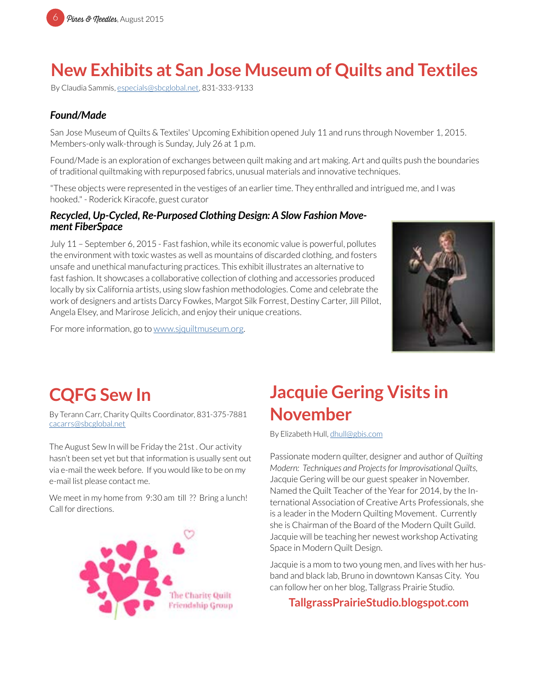### **New Exhibits at San Jose Museum of Quilts and Textiles**

By Claudia Sammis, especials@sbcglobal.net, 831-333-9133

#### *Found/Made*

San Jose Museum of Quilts & Textiles' Upcoming Exhibition opened July 11 and runs through November 1, 2015. Members-only walk-through is Sunday, July 26 at 1 p.m.

Found/Made is an exploration of exchanges between quilt making and art making. Art and quilts push the boundaries of traditional quiltmaking with repurposed fabrics, unusual materials and innovative techniques.

"These objects were represented in the vestiges of an earlier time. They enthralled and intrigued me, and I was hooked." - Roderick Kiracofe, guest curator

#### *Recycled, Up-Cycled, Re-Purposed Clothing Design: A Slow Fashion Movement FiberSpace*

July 11 – September 6, 2015 - Fast fashion, while its economic value is powerful, pollutes the environment with toxic wastes as well as mountains of discarded clothing, and fosters unsafe and unethical manufacturing practices. This exhibit illustrates an alternative to fast fashion. It showcases a collaborative collection of clothing and accessories produced locally by six California artists, using slow fashion methodologies. Come and celebrate the work of designers and artists Darcy Fowkes, Margot Silk Forrest, Destiny Carter, Jill Pillot, Angela Elsey, and Marirose Jelicich, and enjoy their unique creations.

For more information, go to [www.sjquiltmuseum.org](http://www.sjquiltmuseum.org).



## **CQFG Sew In**

By Terann Carr, Charity Quilts Coordinator, 831-375-7881 [cacarrs@sbcglobal.net](mailto:cacarrs%40sbcglobal.net?subject=CQFG%20Sew%20In)

The August Sew In will be Friday the 21st . Our activity hasn't been set yet but that information is usually sent out via e-mail the week before. If you would like to be on my e-mail list please contact me.

We meet in my home from 9:30 am till ?? Bring a lunch! Call for directions.



## **Jacquie Gering Visits in November**

By Elizabeth Hull, [dhull@gbis.com](mailto:dhull%40gbis.com?subject=MPQG)

Passionate modern quilter, designer and author of *Quilting Modern: Techniques and Projects for Improvisational Quilts*, Jacquie Gering will be our guest speaker in November. Named the Quilt Teacher of the Year for 2014, by the International Association of Creative Arts Professionals, she is a leader in the Modern Quilting Movement. Currently she is Chairman of the Board of the Modern Quilt Guild. Jacquie will be teaching her newest workshop Activating Space in Modern Quilt Design.

Jacquie is a mom to two young men, and lives with her husband and black lab, Bruno in downtown Kansas City. You can follow her on her blog, Tallgrass Prairie Studio.

**[TallgrassPrairieStudio.blogspot.com](http://tallgrassprairiestudio.blogspot.com)**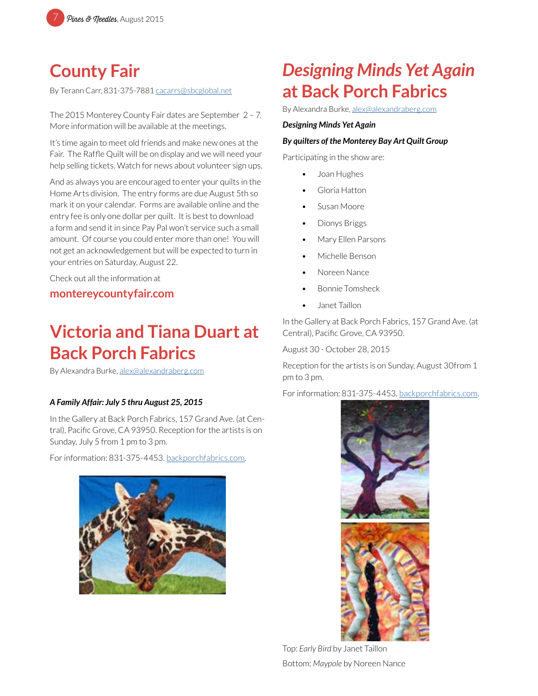

### **County Fair**

By Terann Carr, 831-375-7881 [cacarrs@sbcglobal.net](mailto:rickbarbara%40sbcglobal.net?subject=MPQG%3A%20County%20Fair)

The 2015 Monterey County Fair dates are September 2 – 7. More information will be available at the meetings.

It's time again to meet old friends and make new ones at the Fair. The Raffle Quilt will be on display and we will need your help selling tickets. Watch for news about volunteer sign ups.

And as always you are encouraged to enter your quilts in the Home Arts division. The entry forms are due August 5th so mark it on your calendar. Forms are available online and the entry fee is only one dollar per quilt. It is best to download a form and send it in since Pay Pal won't service such a small amount. Of course you could enter more than one! You will not get an acknowledgement but will be expected to turn in your entries on Saturday, August 22.

Check out all the information at

#### **[montereycountyfair.com](http://montereycountyfair.com)**

### **Victoria and Tiana Duart at Back Porch Fabrics**

By Alexandra Burke, [alex@alexandraberg.com](mailto:alex%40alexandraberg.com?subject=MPQG%20Newsletter)

#### *A Family Affair: July 5 thru August 25, 2015*

In the Gallery at Back Porch Fabrics, 157 Grand Ave. (at Central), Pacific Grove, CA 93950. Reception for the artists is on Sunday, July 5 from 1 pm to 3 pm.

For information: 831-375-4453. [backporchfabrics.com.](http://backporchfabrics.com)



### *Designing Minds Yet Again* **at Back Porch Fabrics**

By Alexandra Burke, [alex@alexandraberg.com](mailto:alex%40alexandraberg.com?subject=MPQG%20Newsletter)

#### *Designing Minds Yet Again*

#### *By quilters of the Monterey Bay Art Quilt Group*

Participating in the show are:

- Joan Hughes
- Gloria Hatton
- Susan Moore
- Dionys Briggs
- Mary Ellen Parsons
- Michelle Benson
- Noreen Nance
- Bonnie Tomsheck
- Janet Taillon

In the Gallery at Back Porch Fabrics, 157 Grand Ave. (at Central), Pacific Grove, CA 93950.

August 30 - October 28, 2015

Reception for the artists is on Sunday, August 30from 1 pm to 3 pm.

For information: 831-375-4453. [backporchfabrics.com.](http://backporchfabrics.com)



Top: *Early Bird* by Janet Taillon Bottom: *Maypole* by Noreen Nance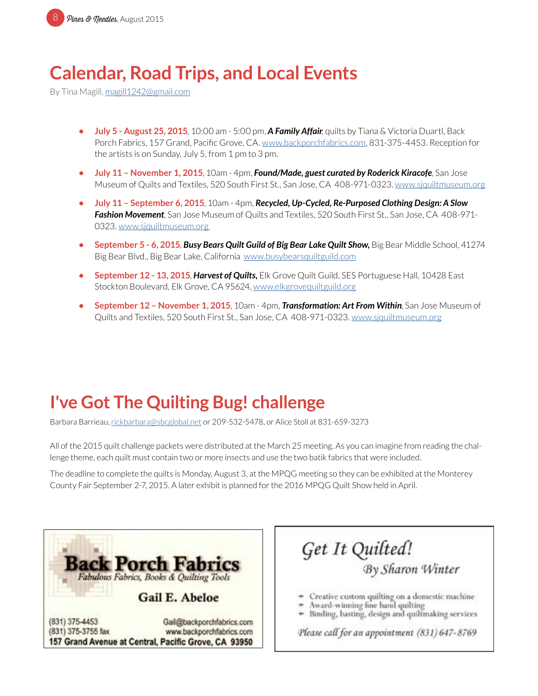

## **Calendar, Road Trips, and Local Events**

By Tina Magill, [magill1242@gmail.com](mailto:magill1242%40gmail.com?subject=MPQG%20Calendar)

- **• July 5 August 25, 2015**, 10:00 am 5:00 pm, *A Family Affair*, quilts by Tiana & Victoria Duartl, Back Porch Fabrics, 157 Grand, Pacific Grove, CA. [www.backporchfabrics.com](http://www.backporchfabrics.com), 831-375-4453. Reception for the artists is on Sunday, July 5, from 1 pm to 3 pm.
- **• July 11 November 1, 2015**, 10am 4pm, *Found/Made, guest curated by Roderick Kiracofe*, San Jose Museum of Quilts and Textiles, 520 South First St., San Jose, CA 408-971-0323. [www.sjquiltmuseum.or](http://www.sjquiltmuseum.org)g
- **• July 11 September 6, 2015**, 10am 4pm, *Recycled, Up-Cycled, Re-Purposed Clothing Design: A Slow Fashion Movement*, San Jose Museum of Quilts and Textiles, 520 South First St., San Jose, CA 408-971- 0323. [www.sjquiltmuseum.or](http://www.sjquiltmuseum.org)g
- **• September 5 6, 2015**, *Busy Bears Quilt Guild of Big Bear Lake Quilt Show,* Big Bear Middle School, 41274 Big Bear Blvd., Big Bear Lake, California [www.busybearsquiltguild.com](http://www.busybearsquiltguild.com)
- **• September 12 13, 2015**, *Harvest of Quilts,* Elk Grove Quilt Guild, SES Portuguese Hall, 10428 East Stockton Boulevard, Elk Grove, CA 95624, [www.elkgrovequiltguild.org](http://www.elkgrovequiltguild.org)
- **• September 12 November 1, 2015**, 10am 4pm, *Transformation: Art From Within*, San Jose Museum of Quilts and Textiles, 520 South First St., San Jose, CA 408-971-0323. [www.sjquiltmuseum.or](http://www.sjquiltmuseum.org)g

### **I've Got The Quilting Bug! challenge**

Barbara Barrieau, [rickbarbara@sbcglobal.net](mailto:rickbarbara%40sbcglobal.net?subject=MPQG%20Quilting%20Bug%20Challenge) or 209-532-5478, or Alice Stoll at 831-659-3273

All of the 2015 quilt challenge packets were distributed at the March 25 meeting. As you can imagine from reading the challenge theme, each quilt must contain two or more insects and use the two batik fabrics that were included.

The deadline to complete the quilts is Monday, August 3, at the MPQG meeting so they can be exhibited at the Monterey County Fair September 2-7, 2015. A later exhibit is planned for the 2016 MPQG Quilt Show held in April.



Get It Quilted!<br>By Sharon Winter

- Creative custom quilting on a domestic machine
- Award-winning fine hand quilting
- » Binding, basting, design and quiltmaking services

Please call for an appointment (831) 647-8769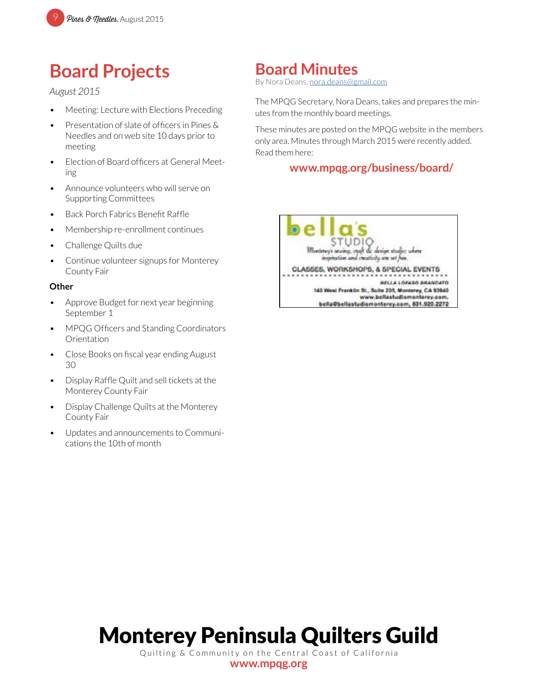## **Board Projects**

#### *August 2015*

- Meeting: Lecture with Elections Preceding
- Presentation of slate of officers in Pines & Needles and on web site 10 days prior to meeting
- Election of Board officers at General Meeting
- Announce volunteers who will serve on Supporting Committees
- Back Porch Fabrics Benefit Raffle
- Membership re-enrollment continues
- Challenge Quilts due
- Continue volunteer signups for Monterey County Fair

#### **Other**

- Approve Budget for next year beginning September 1
- MPQG Officers and Standing Coordinators Orientation
- Close Books on fiscal year ending August 30
- Display Raffle Quilt and sell tickets at the Monterey County Fair
- Display Challenge Quilts at the Monterey County Fair
- Updates and announcements to Communications the 10th of month

### **Board Minutes**

By Nora Deans, [nora.deans@gmail.com](mailto:nora.deans%40gmail.com?subject=MPQG%20Board%20Minutes)

The MPQG Secretary, Nora Deans, takes and prepares the minutes from the monthly board meetings.

These minutes are posted on the MPQG website in the members only area. Minutes through March 2015 were recently added. Read them here:

#### **[www.mpqg.org/business/board/](http://www.mpqg.org/business/board/)**



# Monterey Peninsula Quilters Guild

Quilting & Community on the Central Coast of California **[www.mpqg.org](http://www.mpqg.org)**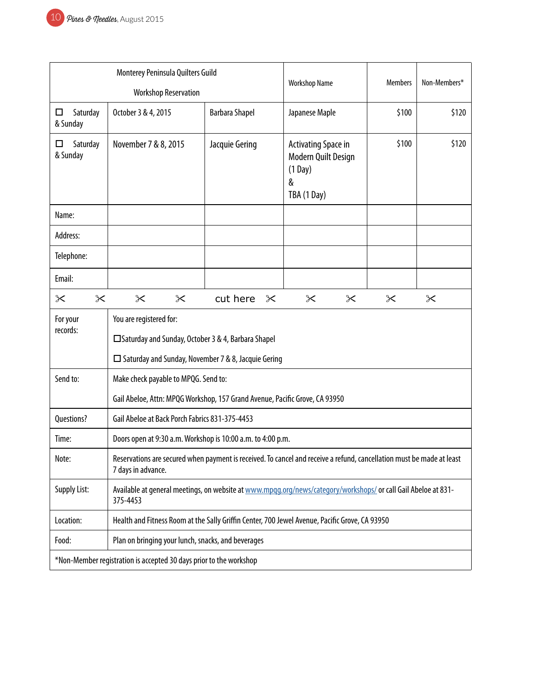| Monterey Peninsula Quilters Guild                                  |                                                                                                                                               |                       | <b>Members</b>                                                              |              |       |  |
|--------------------------------------------------------------------|-----------------------------------------------------------------------------------------------------------------------------------------------|-----------------------|-----------------------------------------------------------------------------|--------------|-------|--|
| <b>Workshop Reservation</b>                                        |                                                                                                                                               | <b>Workshop Name</b>  |                                                                             | Non-Members* |       |  |
| Saturday<br>$\Box$<br>& Sunday                                     | October 3 & 4, 2015                                                                                                                           | <b>Barbara Shapel</b> | Japanese Maple                                                              | \$100        | \$120 |  |
| Saturday<br>□<br>& Sunday                                          | November 7 & 8, 2015                                                                                                                          | Jacquie Gering        | Activating Space in<br>Modern Quilt Design<br>$(1$ Day)<br>&<br>TBA (1 Day) | \$100        | \$120 |  |
| Name:                                                              |                                                                                                                                               |                       |                                                                             |              |       |  |
| Address:                                                           |                                                                                                                                               |                       |                                                                             |              |       |  |
| Telephone:                                                         |                                                                                                                                               |                       |                                                                             |              |       |  |
| Email:                                                             |                                                                                                                                               |                       |                                                                             |              |       |  |
| $\times$<br>$\times$                                               | $\times$<br>$\times$                                                                                                                          | cut here<br>$\times$  | $\times$<br>$\propto$                                                       | $\propto$    | ✕     |  |
| For your<br>records:                                               | You are registered for:<br>□ Saturday and Sunday, October 3 & 4, Barbara Shapel<br>$\Box$ Saturday and Sunday, November 7 & 8, Jacquie Gering |                       |                                                                             |              |       |  |
| Send to:                                                           | Make check payable to MPQG. Send to:                                                                                                          |                       |                                                                             |              |       |  |
|                                                                    | Gail Abeloe, Attn: MPQG Workshop, 157 Grand Avenue, Pacific Grove, CA 93950                                                                   |                       |                                                                             |              |       |  |
| Questions?                                                         | Gail Abeloe at Back Porch Fabrics 831-375-4453                                                                                                |                       |                                                                             |              |       |  |
| Time:                                                              | Doors open at 9:30 a.m. Workshop is 10:00 a.m. to 4:00 p.m.                                                                                   |                       |                                                                             |              |       |  |
| Note:                                                              | Reservations are secured when payment is received. To cancel and receive a refund, cancellation must be made at least<br>7 days in advance.   |                       |                                                                             |              |       |  |
| <b>Supply List:</b>                                                | Available at general meetings, on website at www.mpgg.org/news/category/workshops/ or call Gail Abeloe at 831-<br>375-4453                    |                       |                                                                             |              |       |  |
| Location:                                                          | Health and Fitness Room at the Sally Griffin Center, 700 Jewel Avenue, Pacific Grove, CA 93950                                                |                       |                                                                             |              |       |  |
| Food:                                                              | Plan on bringing your lunch, snacks, and beverages                                                                                            |                       |                                                                             |              |       |  |
| *Non-Member registration is accepted 30 days prior to the workshop |                                                                                                                                               |                       |                                                                             |              |       |  |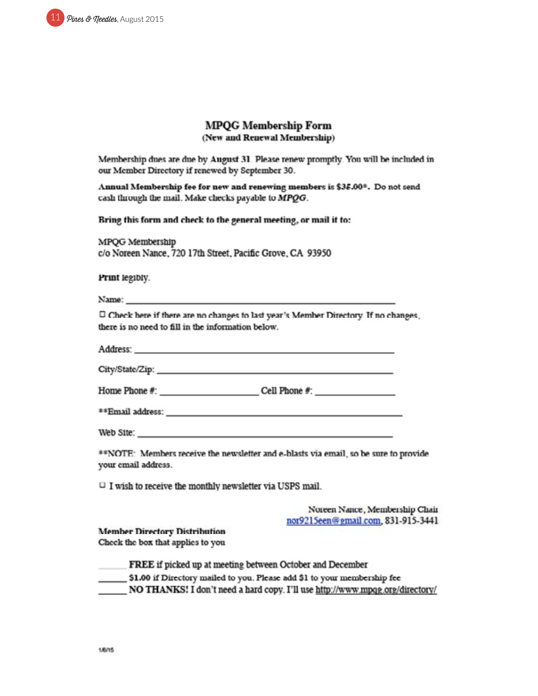

#### **MPQG Membership Form** (New and Renewal Membership)

Membership dues are due by August 31. Please renew promptly. You will be included in our Member Directory if renewed by September 30.

Annual Membership fee for new and renewing members is \$35.00\*. Do not send cash through the mail. Make checks payable to MPQG.

Bring this form and check to the general meeting, or mail it to:

MPQG Membership c/o Noreen Nance, 720 17th Street, Pacific Grove, CA 93950

Print legibly.

Name:

<sup> $\Box$ </sup> Check here if there are no changes to last year's Member Directory. If no changes, there is no need to fill in the information below.

Address:

Home Phone #: Cell Phone #:

\*\*Email address: and the contract of the contract of the contract of the contract of the contract of the contract of the contract of the contract of the contract of the contract of the contract of the contract of the contr

Web Site:

\*\*NOTE: Members receive the newsletter and e-blasts via email, so be sure to provide your email address.

 $\Box$  I wish to receive the monthly newsletter via USPS mail.

Noreen Nance, Membership Chair nor9215een@gmail.com, 831-915-3441

**Member Directory Distribution** Check the box that applies to you

FREE if picked up at meeting between October and December \_ \$1.00 if Directory mailed to you. Please add \$1 to your membership fee NO THANKS! I don't need a hard copy. I'll use http://www.mpqg.org/directory/